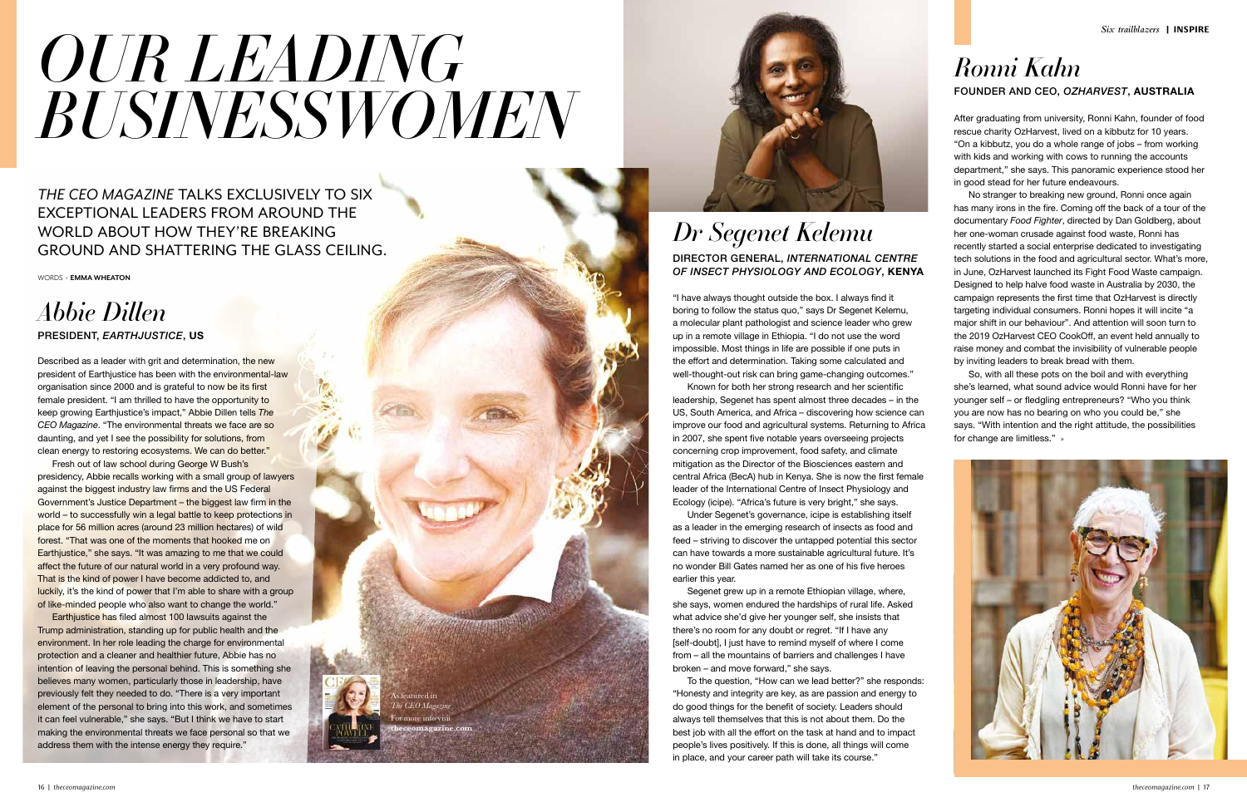Described as a leader with grit and determination, the new president of Earthjustice has been with the environmental-law organisation since 2000 and is grateful to now be its first female president. "I am thrilled to have the opportunity to keep growing Earthjustice's impact," Abbie Dillen tells *The CEO Magazine*. "The environmental threats we face are so daunting, and yet I see the possibility for solutions, from clean energy to restoring ecosystems. We can do better."

Fresh out of law school during George W Bush's presidency, Abbie recalls working with a small group of lawyers against the biggest industry law firms and the US Federal Government's Justice Department – the biggest law firm in the world – to successfully win a legal battle to keep protections in place for 56 million acres (around 23 million hectares) of wild forest. "That was one of the moments that hooked me on Earthjustice," she says. "It was amazing to me that we could affect the future of our natural world in a very profound way. That is the kind of power I have become addicted to, and luckily, it's the kind of power that I'm able to share with a group of like-minded people who also want to change the world."

Earthjustice has filed almost 100 lawsuits against the Trump administration, standing up for public health and the environment. In her role leading the charge for environmental protection and a cleaner and healthier future, Abbie has no intention of leaving the personal behind. This is something she believes many women, particularly those in leadership, have previously felt they needed to do. "There is a very important element of the personal to bring into this work, and sometimes it can feel vulnerable," she says. "But I think we have to start making the environmental threats we face personal so that we address them with the intense energy they require."



"I have always thought outside the box. I always find it boring to follow the status quo," says Dr Segenet Kelemu, a molecular plant pathologist and science leader who grew up in a remote village in Ethiopia. "I do not use the word impossible. Most things in life are possible if one puts in the effort and determination. Taking some calculated and well-thought-out risk can bring game-changing outcomes."

Known for both her strong research and her scientific leadership, Segenet has spent almost three decades – in the US, South America, and Africa – discovering how science can improve our food and agricultural systems. Returning to Africa in 2007, she spent five notable years overseeing projects concerning crop improvement, food safety, and climate mitigation as the Director of the Biosciences eastern and central Africa (BecA) hub in Kenya. She is now the first female leader of the International Centre of Insect Physiology and Ecology (icipe). "Africa's future is very bright," she says.

Under Segenet's governance, icipe is establishing itself as a leader in the emerging research of insects as food and feed – striving to discover the untapped potential this sector can have towards a more sustainable agricultural future. It's no wonder Bill Gates named her as one of his five heroes earlier this year.

Segenet grew up in a remote Ethiopian village, where, she says, women endured the hardships of rural life. Asked what advice she'd give her younger self, she insists that there's no room for any doubt or regret. "If I have any [self-doubt], I just have to remind myself of where I come from – all the mountains of barriers and challenges I have broken – and move forward," she says.

To the question, "How can we lead better?" she responds: "Honesty and integrity are key, as are passion and energy to do good things for the benefit of society. Leaders should always tell themselves that this is not about them. Do the best job with all the effort on the task at hand and to impact people's lives positively. If this is done, all things will come in place, and your career path will take its course."

*THE CEO MAGAZINE* TALKS EXCLUSIVELY TO SIX EXCEPTIONAL LEADERS FROM AROUND THE WORLD ABOUT HOW THEY'RE BREAKING GROUND AND SHATTERING THE GLASS CEILING.

WORDS � **EMMA WHEATON**

# *BUSINESSWOMEN OUR LEADING*

### *Abbie Dillen* PRESIDENT, *EARTHJUSTICE*, US

### DIRECTOR GENERAL, *INTERNATIONAL CENTRE OF INSECT PHYSIOLOGY AND ECOLOGY*, KENYA *Dr Segenet Kelemu*

After graduating from university, Ronni Kahn, founder of food rescue charity OzHarvest, lived on a kibbutz for 10 years. "On a kibbutz, you do a whole range of jobs – from working with kids and working with cows to running the accounts department," she says. This panoramic experience stood her in good stead for her future endeavours.

No stranger to breaking new ground, Ronni once again has many irons in the fire. Coming off the back of a tour of the documentary *Food Fighter*, directed by Dan Goldberg, about her one-woman crusade against food waste, Ronni has recently started a social enterprise dedicated to investigating tech solutions in the food and agricultural sector. What's more, in June, OzHarvest launched its Fight Food Waste campaign. Designed to help halve food waste in Australia by 2030, the campaign represents the first time that OzHarvest is directly targeting individual consumers. Ronni hopes it will incite "a major shift in our behaviour". And attention will soon turn to the 2019 OzHarvest CEO CookOff, an event held annually to raise money and combat the invisibility of vulnerable people by inviting leaders to break bread with them.

So, with all these pots on the boil and with everything she's learned, what sound advice would Ronni have for her younger self – or fledgling entrepreneurs? "Who you think you are now has no bearing on who you could be," she says. "With intention and the right attitude, the possibilities for change are limitless." »



### FOUNDER AND CEO, *OZHARVEST*, AUSTRALIA *Ronni Kahn*

As featured in *The CEO Magazine* or more info visi **theceomagazine.com**